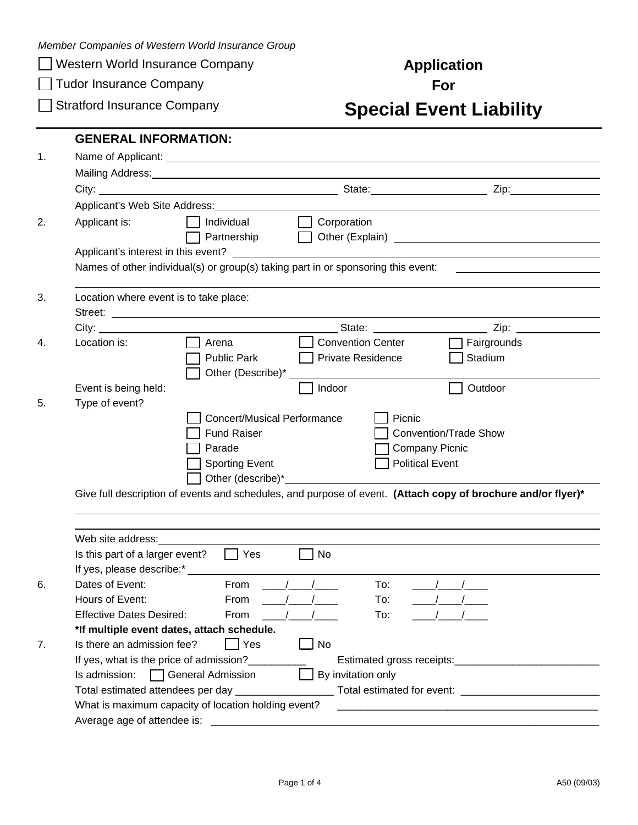*Member Companies of Western World Insurance Group* 

**Western World Insurance Company Application** 

**Tudor Insurance Company For For** 

## **Stratford Insurance Company <b>Special Event Liability**

|                                                                                                                          | <b>GENERAL INFORMATION:</b>                  |                                                                                                                                                                                                                               |                                                                                                                                                                                                                                      |  |  |  |
|--------------------------------------------------------------------------------------------------------------------------|----------------------------------------------|-------------------------------------------------------------------------------------------------------------------------------------------------------------------------------------------------------------------------------|--------------------------------------------------------------------------------------------------------------------------------------------------------------------------------------------------------------------------------------|--|--|--|
|                                                                                                                          |                                              |                                                                                                                                                                                                                               |                                                                                                                                                                                                                                      |  |  |  |
|                                                                                                                          |                                              |                                                                                                                                                                                                                               |                                                                                                                                                                                                                                      |  |  |  |
|                                                                                                                          |                                              | Applicant's Web Site Address: New York School and School and School and School and School and School and School and School and School and School and School and School and School and School and School and School and School |                                                                                                                                                                                                                                      |  |  |  |
| Applicant is:                                                                                                            | Individual                                   | Corporation                                                                                                                                                                                                                   |                                                                                                                                                                                                                                      |  |  |  |
|                                                                                                                          | Partnership                                  |                                                                                                                                                                                                                               |                                                                                                                                                                                                                                      |  |  |  |
|                                                                                                                          |                                              |                                                                                                                                                                                                                               |                                                                                                                                                                                                                                      |  |  |  |
| Applicant's interest in this event?<br>Names of other individual(s) or group(s) taking part in or sponsoring this event: |                                              |                                                                                                                                                                                                                               |                                                                                                                                                                                                                                      |  |  |  |
|                                                                                                                          |                                              |                                                                                                                                                                                                                               |                                                                                                                                                                                                                                      |  |  |  |
| Location where event is to take place:                                                                                   |                                              |                                                                                                                                                                                                                               |                                                                                                                                                                                                                                      |  |  |  |
|                                                                                                                          |                                              |                                                                                                                                                                                                                               |                                                                                                                                                                                                                                      |  |  |  |
| City:                                                                                                                    |                                              |                                                                                                                                                                                                                               | <u>State: Contract and State: Contract and State: Contract and State: Contract and State: Contract and State and State and State and State and State and State and State and State and State and State and State and State and S</u> |  |  |  |
| Location is:                                                                                                             | Arena                                        | <b>Convention Center</b>                                                                                                                                                                                                      | Fairgrounds                                                                                                                                                                                                                          |  |  |  |
|                                                                                                                          | <b>Public Park</b>                           | Private Residence                                                                                                                                                                                                             | Stadium                                                                                                                                                                                                                              |  |  |  |
|                                                                                                                          | Other (Describe)*                            |                                                                                                                                                                                                                               |                                                                                                                                                                                                                                      |  |  |  |
| Event is being held:                                                                                                     |                                              | Indoor                                                                                                                                                                                                                        | Outdoor                                                                                                                                                                                                                              |  |  |  |
| Type of event?                                                                                                           |                                              |                                                                                                                                                                                                                               |                                                                                                                                                                                                                                      |  |  |  |
|                                                                                                                          | <b>Concert/Musical Performance</b><br>Picnic |                                                                                                                                                                                                                               |                                                                                                                                                                                                                                      |  |  |  |
|                                                                                                                          |                                              |                                                                                                                                                                                                                               |                                                                                                                                                                                                                                      |  |  |  |
|                                                                                                                          | <b>Fund Raiser</b>                           |                                                                                                                                                                                                                               | <b>Convention/Trade Show</b>                                                                                                                                                                                                         |  |  |  |
|                                                                                                                          | Parade                                       |                                                                                                                                                                                                                               | <b>Company Picnic</b>                                                                                                                                                                                                                |  |  |  |
|                                                                                                                          | <b>Sporting Event</b>                        |                                                                                                                                                                                                                               | <b>Political Event</b>                                                                                                                                                                                                               |  |  |  |
|                                                                                                                          |                                              |                                                                                                                                                                                                                               |                                                                                                                                                                                                                                      |  |  |  |
|                                                                                                                          |                                              |                                                                                                                                                                                                                               |                                                                                                                                                                                                                                      |  |  |  |
|                                                                                                                          |                                              |                                                                                                                                                                                                                               |                                                                                                                                                                                                                                      |  |  |  |
|                                                                                                                          |                                              |                                                                                                                                                                                                                               |                                                                                                                                                                                                                                      |  |  |  |
|                                                                                                                          |                                              |                                                                                                                                                                                                                               |                                                                                                                                                                                                                                      |  |  |  |
| Is this part of a larger event?                                                                                          | $\Box$ Yes                                   | No                                                                                                                                                                                                                            |                                                                                                                                                                                                                                      |  |  |  |
|                                                                                                                          |                                              |                                                                                                                                                                                                                               |                                                                                                                                                                                                                                      |  |  |  |
| Dates of Event:                                                                                                          | From                                         | To:                                                                                                                                                                                                                           |                                                                                                                                                                                                                                      |  |  |  |
| Hours of Event:                                                                                                          |                                              | From $\frac{1}{2}$ / /<br>To:                                                                                                                                                                                                 |                                                                                                                                                                                                                                      |  |  |  |
| Web site address:<br><b>Effective Dates Desired:</b>                                                                     | From                                         | To:                                                                                                                                                                                                                           |                                                                                                                                                                                                                                      |  |  |  |
|                                                                                                                          | *If multiple event dates, attach schedule.   |                                                                                                                                                                                                                               |                                                                                                                                                                                                                                      |  |  |  |
| Is there an admission fee?                                                                                               | $\Box$ Yes                                   | No                                                                                                                                                                                                                            | Give full description of events and schedules, and purpose of event. (Attach copy of brochure and/or flyer)*                                                                                                                         |  |  |  |
|                                                                                                                          | If yes, what is the price of admission?_     |                                                                                                                                                                                                                               |                                                                                                                                                                                                                                      |  |  |  |
| Is admission:                                                                                                            | General Admission                            | By invitation only                                                                                                                                                                                                            |                                                                                                                                                                                                                                      |  |  |  |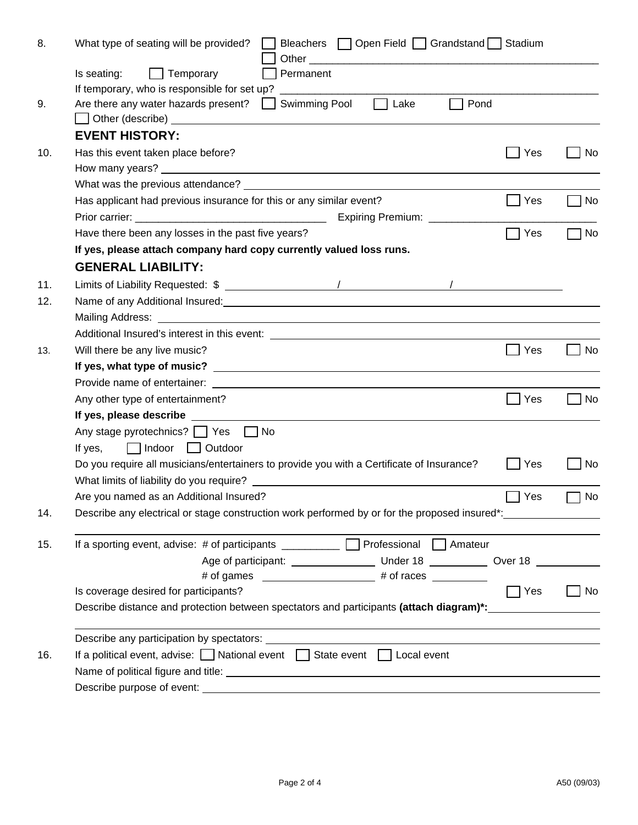| 8.  | Bleachers   Open Field   Grandstand   Stadium<br>What type of seating will be provided?                                                                                                                                        |           |  |  |  |  |
|-----|--------------------------------------------------------------------------------------------------------------------------------------------------------------------------------------------------------------------------------|-----------|--|--|--|--|
|     | Is seating:<br>$\Box$ Temporary<br>Permanent                                                                                                                                                                                   |           |  |  |  |  |
|     | If temporary, who is responsible for set up?                                                                                                                                                                                   |           |  |  |  |  |
| 9.  | Are there any water hazards present?<br>Swimming Pool<br>Lake<br>Pond<br>$\mathbf{1}$<br>$\mathbf{1}$                                                                                                                          |           |  |  |  |  |
|     |                                                                                                                                                                                                                                |           |  |  |  |  |
|     | <b>EVENT HISTORY:</b>                                                                                                                                                                                                          |           |  |  |  |  |
| 10. | Has this event taken place before?<br>Yes                                                                                                                                                                                      | No        |  |  |  |  |
|     |                                                                                                                                                                                                                                |           |  |  |  |  |
|     |                                                                                                                                                                                                                                |           |  |  |  |  |
|     | Has applicant had previous insurance for this or any similar event?<br>Yes                                                                                                                                                     | No        |  |  |  |  |
|     |                                                                                                                                                                                                                                |           |  |  |  |  |
|     | Yes<br>Have there been any losses in the past five years?                                                                                                                                                                      | No        |  |  |  |  |
|     | If yes, please attach company hard copy currently valued loss runs.                                                                                                                                                            |           |  |  |  |  |
|     | <b>GENERAL LIABILITY:</b>                                                                                                                                                                                                      |           |  |  |  |  |
| 11. |                                                                                                                                                                                                                                |           |  |  |  |  |
| 12. |                                                                                                                                                                                                                                |           |  |  |  |  |
|     | Mailing Address: National Address: National Address: National Address: National Address: National Address: National Address: National Address: National Address: National Address: National Address: National Address: Nationa |           |  |  |  |  |
|     |                                                                                                                                                                                                                                |           |  |  |  |  |
| 13. | Will there be any live music?<br>Yes                                                                                                                                                                                           | No        |  |  |  |  |
|     |                                                                                                                                                                                                                                |           |  |  |  |  |
|     |                                                                                                                                                                                                                                |           |  |  |  |  |
|     | Any other type of entertainment?<br>Yes                                                                                                                                                                                        | No        |  |  |  |  |
|     |                                                                                                                                                                                                                                |           |  |  |  |  |
|     | Any stage pyrotechnics? These Theory                                                                                                                                                                                           |           |  |  |  |  |
|     | $\Box$ Indoor $\Box$ Outdoor<br>If yes,                                                                                                                                                                                        |           |  |  |  |  |
|     | Do you require all musicians/entertainers to provide you with a Certificate of Insurance?<br>Yes                                                                                                                               | No        |  |  |  |  |
|     |                                                                                                                                                                                                                                |           |  |  |  |  |
|     | Are you named as an Additional Insured?<br>Yes                                                                                                                                                                                 | No        |  |  |  |  |
| 14. | Describe any electrical or stage construction work performed by or for the proposed insured*:                                                                                                                                  |           |  |  |  |  |
|     |                                                                                                                                                                                                                                |           |  |  |  |  |
| 15. | If a sporting event, advise: # of participants _________ D Professional D Amateur                                                                                                                                              |           |  |  |  |  |
|     |                                                                                                                                                                                                                                |           |  |  |  |  |
|     |                                                                                                                                                                                                                                |           |  |  |  |  |
|     | $\sqcap$ Yes<br>Is coverage desired for participants?                                                                                                                                                                          | $\Box$ No |  |  |  |  |
|     | Describe distance and protection between spectators and participants (attach diagram)*:                                                                                                                                        |           |  |  |  |  |
|     |                                                                                                                                                                                                                                |           |  |  |  |  |
| 16. | If a political event, advise: Mational event State event CL Local event                                                                                                                                                        |           |  |  |  |  |
|     |                                                                                                                                                                                                                                |           |  |  |  |  |
|     |                                                                                                                                                                                                                                |           |  |  |  |  |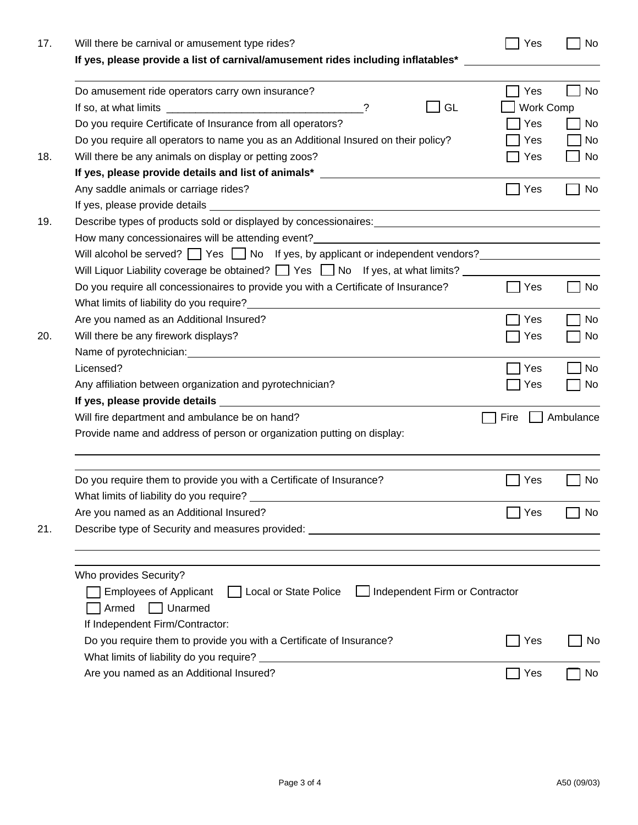| 17. | Will there be carnival or amusement type rides?                                                                                                        | Yes                     | No        |
|-----|--------------------------------------------------------------------------------------------------------------------------------------------------------|-------------------------|-----------|
|     | If yes, please provide a list of carnival/amusement rides including inflatables* _                                                                     |                         |           |
|     | Do amusement ride operators carry own insurance?<br>GL<br>?                                                                                            | Yes<br><b>Work Comp</b> | <b>No</b> |
|     | Do you require Certificate of Insurance from all operators?                                                                                            | Yes                     | No        |
|     | Do you require all operators to name you as an Additional Insured on their policy?                                                                     | Yes                     | No        |
| 18. | Will there be any animals on display or petting zoos?                                                                                                  | Yes                     | No        |
|     | If yes, please provide details and list of animals* ____________________________                                                                       |                         |           |
|     | Any saddle animals or carriage rides?                                                                                                                  | Yes                     | No        |
|     |                                                                                                                                                        |                         |           |
| 19. | Describe types of products sold or displayed by concessionaires: example and all the state of products sold or displayed by concessionaires:           |                         |           |
|     |                                                                                                                                                        |                         |           |
|     | Will alcohol be served? $\Box$ Yes $\Box$ No If yes, by applicant or independent vendors?                                                              |                         |           |
|     | Will Liquor Liability coverage be obtained? $\Box$ Yes $\Box$ No If yes, at what limits?                                                               |                         |           |
|     | Do you require all concessionaires to provide you with a Certificate of Insurance?                                                                     | Yes                     | No        |
|     | What limits of liability do you require?<br><u> What limits of liability do you require?</u>                                                           |                         |           |
|     | Are you named as an Additional Insured?                                                                                                                | Yes                     | No        |
| 20. | Will there be any firework displays?                                                                                                                   | Yes                     | No        |
|     |                                                                                                                                                        |                         |           |
|     | Licensed?                                                                                                                                              | Yes                     | No        |
|     | Any affiliation between organization and pyrotechnician?                                                                                               | Yes                     | No        |
|     |                                                                                                                                                        |                         |           |
|     | Will fire department and ambulance be on hand?                                                                                                         | Fire                    | Ambulance |
|     | Provide name and address of person or organization putting on display:                                                                                 |                         |           |
|     | Do you require them to provide you with a Certificate of Insurance?                                                                                    | Yes                     | No        |
|     | What limits of liability do you require?                                                                                                               |                         |           |
|     | Are you named as an Additional Insured?                                                                                                                | Yes                     | No.       |
| 21. | Describe type of Security and measures provided: _______________________________                                                                       |                         |           |
|     | Who provides Security?<br>Local or State Police<br>Independent Firm or Contractor<br><b>Employees of Applicant</b><br>$\mathbf{1}$<br>Armed<br>Unarmed |                         |           |
|     | If Independent Firm/Contractor:                                                                                                                        |                         |           |
|     | Do you require them to provide you with a Certificate of Insurance?<br>What limits of liability do you require?                                        | Yes                     | No        |
|     | Are you named as an Additional Insured?                                                                                                                | Yes                     | No        |
|     |                                                                                                                                                        |                         |           |